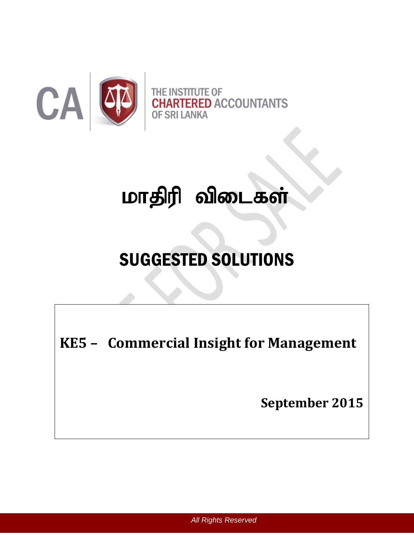

# மாதிரி விடைகள்

## SUGGESTED SOLUTIONS

**KE5 - Commercial Insight for Management** 

**September 2015**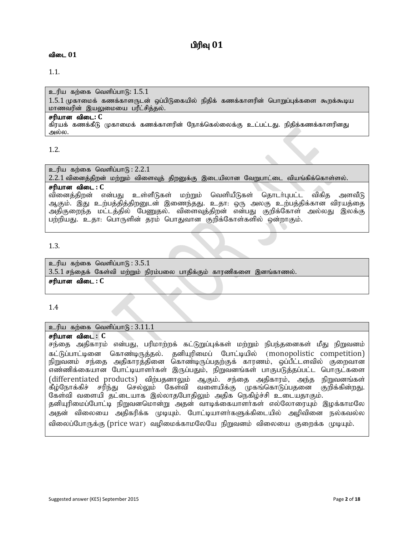## பிரிவு  $01$

#### **விடை 01**

#### 1.1.

உரிய கற்கை வெளிப்பாடு:  $1.5.1$  $1.5.1$  முகாமைக் கணக்காளருடன் ஒப்பிடுகையில் நிதிக் கணக்காளரின் பொறுப்புக்களை கூறக்கூடிய மாணவரின் இயலுமையை பரீட்சித்தல். சரியான விடை: C கிரயக் கணக்கீடு முகாமைக் கணக்காளரின் நோக்கெல்லைக்கு உட்பட்டது. நிதிக்கணக்காளரினது அல்ல.

#### 1.2.

 $p$ ெரிய கற்கை வெளிப்பாடு :  $2.2.1$ 

2.2.1 வினைத்திறன் மற்றும் விளைவுத் திறனுக்கு இடையிலான வேறுபாட்டை வியங்கிக்கொள்ளல்.

#### சரியான விடை : C

வினைத்திறன் என்பது உள்ளீடுகள் மற்றும் வெளியீடுகள் தொடர்புபட்ட விகித அளவீடு ஆகும். இது உற்பத்தித்திறனுடன் இணைந்தது. உதா: ஒரு அலகு உற்பத்திக்கான விரயத்தை அதிகுறைந்த மட்டத்தில் பேணுதல். விளைவுத்திறன் என்பது குறிக்கோள் அல்லது இலக்கு பற்றியது. உதா: பொருளின் தரம் பொதுவான குறிக்கோள்களில் ஒன்றாகும்.

#### 1.3.

உரிய கற்கை வெளிப்பா $G: 3.5.1$  $3.5.1$  சந்தைக் கேள்வி மற்றும் நிரம்பலை பாதிக்கும் காரணிகளை இனங்காணல். சரியான விடை : C

1.4

#### உரிய கற்கை வெளிப்பா $f_6$  :  $3.\overline{11.1}$

சரியான விடை : C

சந்தை அதிகாரம் என்பது, பரிமாற்றக் கட்டுறுப்புக்கள் மற்றும் நிபந்தனைகள் மீது நிறுவனம் கட்டுப்பாட்டினை கொண்டிருத்தல். தனியுரிமைப் போட்டியில் (monopolistic competition) நிறுவனம் சந்தை அதிகாரத்தினை கொண்டிருப்பதற்குக் காரணம், ஒப்பீட்டளவில் குறைவான எண்ணிக்கையான போட்டியாளா்கள் இருப்பதும், நிறுவனங்கள் பாகுபடுத்தப்பட்ட பொருட்களை (differentiated products) விற்பதனாலும் ஆகும். சந்தை அதிகாரம், அந்த நிறுவனங்கள் கீழ்நோக்கிச் சரிந்து செல்லும் கேள்வி வளையிக்கு முகங்கொடுப்பதனை குறிக்கின்றது.| கேள்வி வளையி தட்டையாக இல்லாதபோதிலும் அதிக நெகிழ்ச்சி உடையதாகும். தனியுரிமைப்போட்டி நிறுவனமொன்று அதன் வாடிக்கையாளர்கள் எல்லோரையும் இழக்காமலே அதன் விலையை அதிகரிக்க முடியும். போட்டியாளர்களுக்கிடையில் அழிவினை நல்கவல்ல விலைப்போருக்கு (price war) வழிமைக்காமலேயே நிறுவனம் விலையை குறைக்க முடியும்.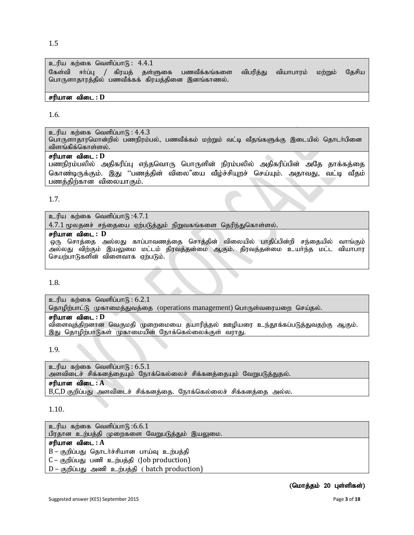$p$ ரிய கற்கை வெளிப்பா $\mathfrak{g}: 4.4.1$ கேள்வி ஈர்ப்பு / கிரயத் தள்ளுகை பணவீக்கங்களை விபரித்து வியாபாரம் மற்றும் தேசிய பொருளாதாரத்தில் பணவீக்கக் கிரயத்தினை இனங்காணல்.

#### சரியான விடை : **D**

#### 1.6.

உரிய கற்கை வெளிப்பா $(6): 4.4.3$ 

பொருளாதாரமொன்றில் பணநிரம்பல், பணவீக்கம் மற்றும் வட்டி வீதங்களுக்கு இடையில் தொடா்பினை விளங்கிக்கொள்ளல்.

#### சரியான விடை : **D**

பணநிரம்பலில் அதிகரிப்பு எந்தவொரு பொருளின் நிரம்பலில் அதிகரிப்பின் அதே தாக்கத்தை கொண்டிருக்கும். இது ''பணத்தின் விலை"யை வீழ்ச்சியுறச் செய்யும். அதாவது, வட்டி வீதம் பணத்திற்கான விலையாகும்.

#### 1.7.

 $p$ ாரிய கற்கை வெளிப்பாடு: $4.7.1$ 

 $4.7.1\,$ மூலதனச் சந்தையை ஏற்படுத்தும் நிறுவகங்களை தெரிந்துகொள்ளல்.

#### rupahd tpil **: D**

,<br>ஒரு சொத்தை அல்லது காப்பாவணத்தை சொத்தின் விலையில் பாதிப்பின்றி சந்தையில் வாங்கும் .<br>அல்லது விற்கும் இயலுமை மட்டம் திரவத்தன்மை ஆகும். திரவத்தன்மை உயா்ந்த மட்ட வியாபார செயற்பாடுகளின் விளைவாக ஏற்படும்.

#### 1.8.

 $p$ ெரிய கற்கை வெளிப்பாடு:  $6.2.1$ தொழிற்பாட்டு முகாமைத்துவத்தை (operations management) பொருள்வரையறை செய்தல்.

#### சரியான விடை : **D**

விளைவுத்திறனான வெகுமதி முறைமையை தயாரித்தல் ஊழியரை உந்தூக்கப்படுத்துவதற்கு ஆகும். இது தொழிற்பாடுகள் முகாமையின் நோக்கெல்லைக்குள் வராது.

#### 1.9.

உரிய கற்கை வெளிப்பா $f<sub>B</sub>$ : 6.5.1 அளவிடைச் சிக்கனத்தையும் நோக்கெல்லைச் சிக்கனத்தையும் வேறுபடுத்துதல். சரியான விடை : **A** B,C,D குறிப்பது அளவிடைச் சிக்கனத்தை. நோக்கெல்லைச் சிக்கனத்தை அல்ல.

#### 1.10.

 $p$ ெரிய கற்கை வெளிப்பாடு: $6.6.1$ பிரதான உற்பத்தி முறைகளை வேறுபடுத்தும் இயலுமை. சரியான விடை : A  $B$  – குறிப்பது தொடர்ச்சியான பாய்வு உற்பத்தி  $C$  – குறிப்பது பணி உற்பத்தி (Job production)  $D$  – குறிப்பது அணி உற்பத்தி ( batch production)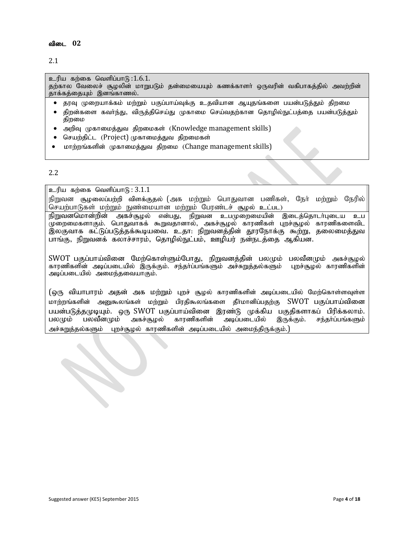2.1

 $p$ ாரிய கற்கை வெளிப்பாடு: $1.6.1$ . தற்கால வேலைச் சூழலின் மாறுபடும் தன்மையையும் கணக்காளர் ஒருவரின் வகிபாகத்தில் அவற்றின் தாக்கத்தையும் இனங்காணல்.

- தரவு முறையாக்கம் மற்றும் பகுப்பாய்வுக்கு உதவியான ஆயுதங்களை பயன்படுத்தும் திறமை
- திறன்களை கவா்ந்து, விருத்திசெய்து முகாமை செய்வதற்கான தொழில்நுட்பத்தை பயன்படுத்தும் திறமை
- அறிவு முகாமைத்துவ திறமைகள் (Knowledge management skills)
- செயற்திட்ட (Project) முகாமைத்துவ திறமைகள்
- மாற்றங்களின் முகாமைத்துவ திறமை (Change management skills)

#### 2.2

 $p$ ெரிய கற்கை வெளிப்பாடு:  $3.1.1$ 

நிறுவன சூழலைப்பற்றி விளக்குதல் (அக மற்றும் பொதுவான பணிகள், நேர் மற்றும் நேரில் செயற்பாடுகள் மற்றும் நுண்மையான மற்றும் பேரண்டச் சூழல் உட்பட)

<u>நிறு</u>வனமொன்றின் அகச்சூழல் என்பது, நிறுவன உபமுறைமையின் இடைத்தொடர்புடைய உப .<br>முறைமைகளாகும். பொதுவாகக் கூறுவதானால், அகச்சூழல் காரணிகள் புறச்சூழல் காரணிகளைவிட இலகுவாக கட்டுப்படுத்தக்கூடியவை. உதா: நிறுவனத்தின் தூரநோக்கு கூற்று, தலைமைத்துவ பாங்கு, நிறுவனக் கலாச்சாரம், தொழில்நுட்பம், ஊழியர் நன்நடத்தை ஆகியன.

 $\mathrm{SWOT}$  பகுப்பாய்வினை மேற்கொள்ளும்போது, நிறுவனத்தின் பலமும் பலவீனமும் அகச்சூழல் காரணிகளின் அடிப்படையில் இருக்கும். சந்தர்ப்பங்களும் அச்சுறுத்தல்களும் புறச்சூழல் காரணிகளின் அடிப்படையில் அமைந்தவையாகும்.

(ஒரு வியாபாரம் அதன் அக மற்றும் புறச் சூழல் காரணிகளின் அடிப்படையில் மேற்கொள்ளவள்ள மாற்றங்களின் அனுகூலங்கள் மற்றும் பிரதிகூலங்களை தீர்மானிப்பதற்கு SWOT பகுப்பாய்வினை பயன்படுத்தமுடியும். ஒரு SWOT பகுப்பாய்வினை இரண்டு முக்கிய பகுதிகளாகப் பிரிக்கலாம்.<br>பலமும் பலவீனமும் அகச்சூழல் காரணிகளின் அடிப்படையில் இருக்கும். சந்தர்ப்பங்களும் இருக்கும். சந்தா்ப்பங்களும் அச்சுறுத்தல்களும் புறச்சூழல் காரணிகளின் அடிப்படையில் அமைந்திருக்கும்.)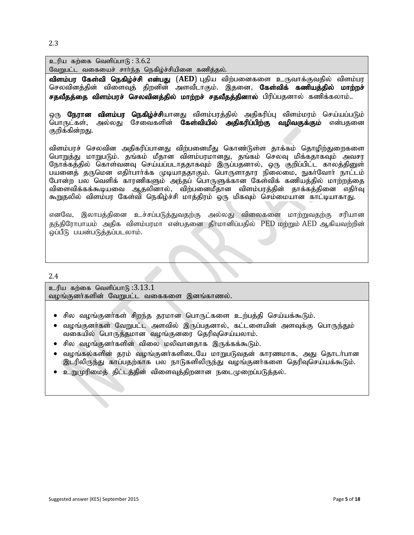2.3

உரிய கற்கை வெளிப்பா $f_5$ :  $3.6.2$ 

வேறுபட்ட வகையைச் சாா்ந்த நெகிழ்ச்சியினை கணித்தல்.

<mark>விளம்பர கேள்வி நெகிழ்ச்சி என்பது (AED</mark>) புதிய விற்பனைகளை உருவாக்குவதில் விளம்பர செலவினத்தின் விளைவுத் திறனின் அளவீடாகும். இதனை, **கேள்விக் கணியத்தில் மாற்றச்** சதவீதத்தை விளம்பரச் செலவினத்தில் மாற்றச் சதவீதத்தினால் பிரிப்பதனால் கணிக்கலாம்..

ஒரு **நேரான விளம்பர நெகிழ்ச்சி**யானது விளம்பரத்தில் அதிகரிப்பு விளம்மரம் செய்யப்படும் பொருட்கள், அல்லது சேவைகளின் **கேள்வியில் அதிகரிப்பிற்கு வழிவகுக்கும்** என்பதனை குறிக்கின்றது.

விளம்பாச் செலவின அதிகரிப்பானது விற்பனைமீது கொண்டுள்ள தாக்கம் தொமிற்துறைகளை பொறுத்து மாறுபடும். தங்கம் மீதான விளம்பரமானது, தங்கம் செலவு மிக்கதாகவும் அவசர நோக்கத்தில் கொள்வனவு செய்யப்படாததாகவும் இருப்பதனால், ஒரு குறிப்பிட்ட காலத்தினுள் பயனைத் தருமென எதிர்பார்க்க முடியாததாகும். பொருளாதார நிலைமை, நுகர்வோர் நாட்டம் போன்ற பல வெளிக் காரணிகளும் அந்தப் பொருளுக்கான கேள்விக் கணியக்கில் மாற்றத்தை விளைவிக்கக்கூடியவை ஆதலினால், விற்பனைமீதான விளம்பரத்தின் தாக்கத்தினை எதிர்வு கூறுதலில் விளம்பர கேள்வி நெகிழ்ச்சி மாத்திரம் ஒரு மிகவும் செம்மையான காட்டியாகாது.

எனவே, இலாபத்தினை உச்சப்படுத்துவதற்கு அல்லது விலைகளை மாற்றுவதற்கு சரியான தந்திரோபாயம் அதிக விளம்பரமா என்பதனை தீர்மானிப்பதில் PED மற்றும் AED ஆகியவற்றின் ஒப்பீடு பயன்படுத்தப்படலாம்.

2.4

உரிய கற்கை வெளிப்பாடு $:3.13.1$ வழங்குனர்களின் வேறுபட்ட வகைகளை இனங்காணல்.

- சில வழங்குனா்கள் சிறந்த தரமான பொருட்களை உற்பத்தி செய்யக்கூடும்.
- ் வழங்குனர்கள் வேறுபட்ட அளவில் இருப்பதனால், கட்டளையின் அளவுக்கு பொருந்தும் வகையில் பொருத்தமான வழங்குனரை தெரிவுசெய்யலாம்.
- $\bullet$  சில வழங்குனர்களின் விலை மலிவானதாக இருக்கக்கூடும்.
- $\bullet$  வழங்கல்களின் தரம் வழங்குனர்களிடையே மாறுபடுவதன் காரணமாக, அது தொடர்பான இடரிலிருந்து காப்பதற்காக பல நாடுகளிலிருந்து வழங்குனா்களை தெரிவுசெய்யக்கூடும்.
- ை உறுமுரிமைத் திட்டத்தின் விளைவுத்திறனான நடைமுறைப்படுத்தல்.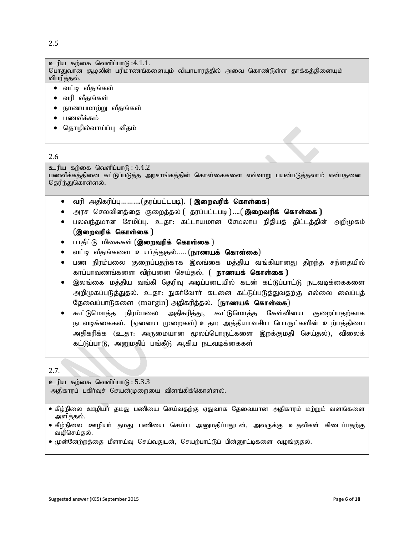2.5

உரிய கற்கை வெளிப்பாடு $:4.1.1.$ 

பொதுவான சூழலின் பரிமாணங்களையும் வியாபாரத்தில் அவை கொண்டுள்ள தாக்கத்தினையும் விபரித்தல்.

- வட்டி வீதங்கள்
- வரி வீகங்கள்
- நாணயமாற்று வீதங்கள்
- பணவீக்கம்
- தொழில்வாய்ப்பு வீதம்

#### 2.6

உரிய கற்கை வெளிப்பா $(6): 4.4.2$ 

பணவீக்கத்தினை கட்டுப்படுத்த அரசாங்கத்தின் கொள்கைகளை எவ்வாறு பயன்படுத்தலாம் என்பதனை தெரிந்துகொள்ளல்.

- வரி அதிகரிப்பு..........(தரப்பட்டபடி). ( **இறைவரிக் கொள்கை**)
- அரச செலவினத்தை குறைத்தல் ( தரப்பட்டபடி )….( **இறைவரிக் கொள்கை )**
- பலவந்தமான சேமிப்பு. உதா: கட்டாயமான சேமலாப நிதியத் திட்டத்தின் அறிமுகம் (இறைவரிக் கொள்கை )
- பாதீட்டு மிகைகள் (இறைவரிக் கொள்கை )
- வட்டி வீதங்களை உயர்த்துதல்..... (**நாணயக் கொள்கை**)
- பண நிரம்பலை குறைப்பதற்காக இலங்கை மக்கிய வங்கியானது கிறந்த சந்தையில் காப்பாவணங்களை விற்பனை செய்கல். ( **நாணயக் கொள்கை )**
- இலங்கை மத்திய வங்கி தெரிவு அடிப்படையில் கடன் கட்டுப்பாட்டு நடவடிக்கைகளை அறிமுகப்படுத்துதல். உதா: நுகா்வோா் கடனை கட்டுப்படுத்துவதற்கு எல்லை வைப்புத் தேவைப்பாடுகளை (margin) அதிகரித்தல். (நாணயக் கொள்கை)
- கூட்டுமொக்க நிரம்பலை அகிகரிக்கு, கூட்டுமொக்க கேள்வியை குறைப்பகற்காக நடவடிக்கைகள். (ஏனைய முறைகள்) உதா: அத்தியாவசிய பொருட்களின் உற்பத்தியை அதிகரிக்க (உதா: அருமையான மூலப்பொருட்களை இறக்குமதி செய்தல்), விலைக் கட்டுப்பாடு, அனுமதிப் பங்கீடு ஆகிய நடவடிக்கைகள்

2.7.

 $p$ ெரிய கற்கை வெளிப்பாடு:  $5.3.3$ அதிகாரப் பகிர்வுச் செயன்முறையை விளங்கிக்கொள்ளல்.

- $\bullet$  கீழ்நிலை ஊழியா் தமது பணியை செய்வதற்கு ஏதுவாக தேவையான அதிகாரம் மற்றும் வளங்களை அளித்தல்.
- கீழ்நிலை ஊழியா் தமது பணியை செய்ய அனுமதிப்பதுடன், அவருக்கு உதவிகள் கிடைப்பதற்கு வழிசெய்தல்.
- முன்னேற்றத்தை மீளாய்வு செய்வதுடன், செயற்பாட்டுப் பின்னூட்டிகளை வழங்குதல்.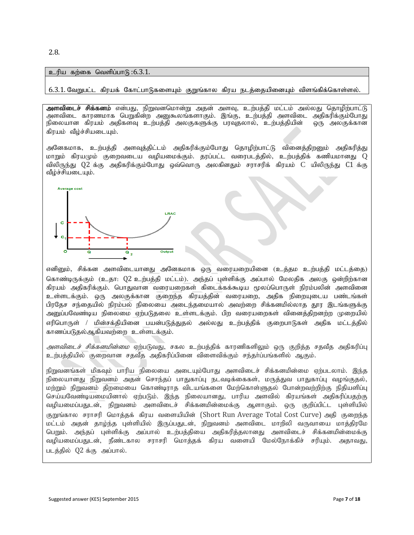2.8.

#### $p$ ெரிய கற்கை வெளிப்பாடு: $6.3.1$ .

 $6.3.1$ . வேறுபட்ட கிரயக் கோட்பாடுகளையும் குறுங்கால கிரய நடத்தையினையும் விளங்கிக்கொள்ளல்.

<mark>அளவிடைச் சிக்கனம்</mark> என்பது, நிறுவனமொன்று அதன் அளவு, உற்பத்தி மட்டம் அல்லது தொழிற்பாட்டு அளவிடை காரணமாக பெறுகின்ற அனுகூலங்களாகும். இங்கு, உற்பத்தி அளவிடை அதிகரிக்கும்போது நிலையான கிரயம் அதிகளவு உற்பத்தி அலகுகளுக்கு பரவுதலால், உற்பத்தியின் ஒரு அலகுக்கான கிரயம் வீழ்ச்சியடையும்.

அனேகமாக, உற்பத்தி அளவுத்திட்டம் அதிகரிக்கும்போது தொழிற்பாட்டு வினைத்திறனும் அதிகரித்து மாறும் கிரயமும் குறைவடைய வழியமைக்கும். தரப்பட்ட வரைபடத்தில், உற்பத்திக் கணியமானது  $Q$ விலிருந்து Q2 க்கு அதிகரிக்கும்போது ஒவ்வொரு அலகினதும் சராசரிக் கிரயம் C யிலிருந்து C1 க்கு வீழ்ச்சியடையும்.



எனினும், சிக்கன அளவிடையானது அனேகமாக ஒரு வரையறையினை (உத்தம உற்பத்தி மட்டத்தை) கொண்டிருக்கும் (உதா: Q2 உற்பத்தி மட்டம்). அந்தப் புள்ளிக்கு அப்பால் மேலதிக அலகு ஒன்றிற்கான கிரயம் அதிகரிக்கும். பொதுவான வரையறைகள் கிடைக்கக்கூடிய மூலப்பொருள் நிரம்பலின் அளவினை உள்ளடக்கும். ஒரு அலகுக்கான குறைந்த கிரயத்தின் வரையறை, அதிக நிறையுடைய பண்டங்கள் பிரதேச சந்தையில் நிரம்பல் நிலையை அடைந்தமையால் அவற்றை சிக்கனமில்லாத தூர இடங்களுக்கு அனுப்பவேண்டிய நிலைமை ஏற்படுதலை உள்ளடக்கும். பிற வரையறைகள் வினைத்திறனற்ற முறையில் ளரிபொருள் / மின்சக்கியினை பயன்படுக்குகல் அல்லது உற்பக்கிக் குறைபாடுகள் அகிக மட்டக்கில் காணப்படுதல்ஆகியவற்றை உள்ளடக்கும்.

*அளவிடைச் சிக்கனமின்மை* ஏற்படுவது, சகல உற்பத்திக் காரணிகளிலும் ஒரு குறித்த சதவீத அதிகரிப்பு உற்பத்தியில் குறைவான சதவீத அதிகரிப்பினை விளைவிக்கும் சந்தா்ப்பங்களில் ஆகும்.

நிறுவனங்கள் மிகவும் பாரிய நிலையை அடையும்போது அளவிடைச் சிக்கனமின்மை ஏற்படலாம். இந்த நிலையானது நிறுவனம் அதன் சொந்தப் பாதுகாப்பு நடவடிக்கைகள், மருத்துவ பாதுகாப்பு வழங்குதல், மற்றும் நிறுவனம் திறமையை கொண்டிராத விடயங்களை மேற்கொள்ளுதல் போன்றவற்றிற்கு நிதியளிப்பு செய்யவேண்டியமையினால் ஏற்படும். இந்த நிலையானது, பாரிய அளவில் கிரயங்கள் அதிகரிப்பதற்கு வழியமைப்பதுடன், நிறுவனம் அளவிடைச் சிக்கனமின்மைக்கு ஆளாகும். ஒரு குறிப்பிட்ட புள்ளியில் குறுங்கால சராசரி மொத்தக் கிரய வளையியின் (Short Run Average Total Cost Curve) அதி குறைந்த மட்டம் அதன் தாழ்ந்த புள்ளியில் இருப்பதுடன், நிறுவனம் அளவிடை மாறிலி வருவாயை மாத்திரமே பெறும். அந்தப் புள்ளிக்கு அப்பால் உற்பக்கியை அகிகரிக்கலானது அளவிடைச் சிக்கனமின்மைக்கு வழியமைப்பதுடன், நீண்டகால சராசரி மொத்தக் கிரய வளையி மேல்நோக்கிச் சரியும். அதாவது, படத்தில் 02 க்கு அப்பால்.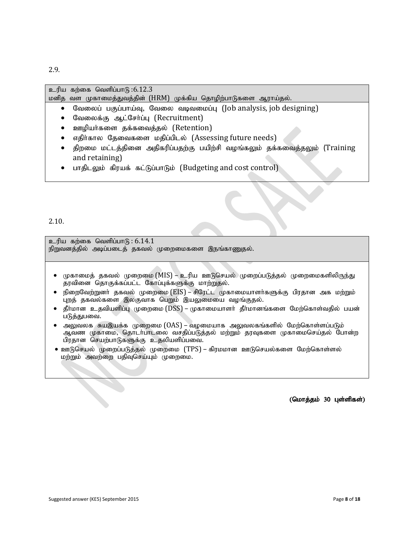2.9.

 $p$ ெரிய கற்கை வெளிப்பாடு: $6.12.3$ 

மனித வள முகாமைத்துவத்தின் (HRM) முக்கிய தொழிற்பாடுகளை ஆராய்தல்.

- வேலைப் பகுப்பாய்வு, வேலை வடிவமைப்பு (Job analysis, job designing)
- வேலைக்கு ஆட்சேர்ப்பு (Recruitment)
- ஊழியர்களை தக்கவைத்தல் (Retention)
- எதிர்கால தேவைகளை மதிப்பிடல் (Assessing future needs)
- திறமை மட்டத்தினை அதிகரிப்பதற்கு பயிற்சி வழங்கலும் தக்கவைத்தலும் (Training and retaining)
- பாதிடலும் கிரயக் கட்டுப்பாடும் (Budgeting and cost control)

2.10.

 $p$ ெரிய கற்கை வெளிப்பாடு:  $6.14.1$ நிறுவனத்தில் அடிப்படைத் தகவல் முறைமைகளை இநங்காணுதல்.

- முகாமைத் தகவல் முறைமை (MIS) உரிய ஊடுசெயல் முறைப்படுத்தல் முறைமைகளிலிருந்து தரவினை தொகுக்கப்பட்ட கோப்புக்களுக்கு மாற்றுதல்.
- நிறைவேற்றுனர் தகவல் முறைமை ( $\mathrm{EIS}$ ) சிரேட்ட முகாமையாளர்களுக்கு பிரதான அக மற்றும் புறத் தகவல்களை இலகுவாக பெறும் இயலுமையை வழங்குதல்.
- $\bullet$  தீா்மான உதவியளிப்பு முறைமை ( $\mathrm{DSS}$ ) முகாமையாளா் தீா்மானங்களை மேற்கொள்வதில் பயன் படுத்துபவை.
- அலுவலக சுயஇயக்க முறைமை (OAS) வழமையாக அலுவலகங்களில் மேற்கொள்ளப்படும் ஆவண முகாமை, தொடர்பாடலை வசதிப்படுத்தல் மற்றும் தரவுகளை முகாமைசெய்தல் போன்ற பிரதான செயற்பாடுகளுக்கு உதலியளிப்பவை.
- ஊடுசெயல் முறைப்படுத்தல் முறைமை (TPS) கிரமமான ஊடுசெயல்களை மேற்கொள்ளல் மற்றும் அவற்றை பதிவுசெய்யும் முறைமை.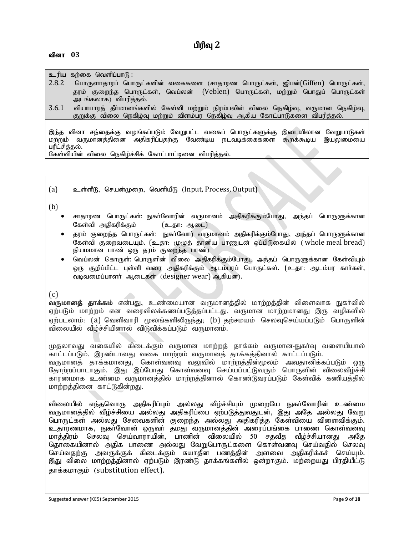வினா 03

#### உரிய கற்கை வெளிப்பாடு :

- 2.8.2 பொருளாதாரப் பொருட்களின் வகைகளை (சாதாரண பொருட்கள், ஜிபன்(Giffen) பொருட்கள், தரம் குறைந்த பொருட்கள், வெப்லன் (Veblen) பொருட்கள், மற்றும் பொதுப் பொருட்கள் அடங்கலாக) விபரித்தல்.
- $3.6.1$  வியாபாரத் தீர்மானங்களில் கேள்வி மற்றும் நிரம்பலின் விலை நெகிழ்வு, வருமான நெகிழ்வு, குறுக்கு விலை நெகிழ்வு மற்றும் விளம்பர நெகிழ்வு ஆகிய கோட்பாடுகளை விபரித்தல்.

இந்த வினா சந்தைக்கு வழங்கப்படும் வேறுபட்ட வகைப் பொருட்களுக்கு இடையிலான வேறுபாடுகள் மற்றும் வருமானத்தினை அதிகரிப்பதற்கு வேண்டிய நடவடிக்கைகளை கூறக்கூடிய இயலுமையை பரீட்சித்தல்.

கேள்வியின் விலை நெகிழ்ச்சிக் கோட்பாட்டினை விபரித்தல்.

(a) உள்ளீடு, செயன்முறை, வெளியீடு (Input, Process, Output)

(b)

- சாதாரண பொருட்கள்: நுகா்வோரின் வருமானம் அதிகரிக்கும்போது, அந்தப் பொருளுக்கான கேள்வி அதிகரிக்கும் (உதா: ஆடை)
- தரம் குறைந்த பொருட்கள்: நுகா்வோர் வருமானம் அதிகரிக்கும்போது, அந்தப் பொருளுக்கான கேள்வி குறைவடையும், (உதா: முமுக் தானிய பாணுடன் ஒப்பிடுகையில் ( whole meal bread) நியமமான பாண் ஒரு தரம் குறைந்த பாண்)
- வெப்லன் கொருள்: பொருளின் விலை அதிகரிக்கும்போது, அந்தப் பொருளுக்கான கேள்வியும் ஒரு குறிப்பிட்ட புள்ளி வரை அதிகரிக்கும் ஆடம்பரப் பொருட்கள். (உதா: ஆடம்பர காா்கள், வடிவமைப்பாளர் அடைகள் (designer wear) அகியன).

 $(c)$ 

**வருமானத் தாக்கம்** என்பது, உண்மையான வருமானத்தில் மாற்றத்தின் விளைவாக நுகர்வில் ஏற்படும் மாற்றம் என வரைவிலக்கணப்படுத்தப்பட்டது. வருமான மாற்றமானது இரு வழிகளில் ஏற்படலாம்: (a) வெளிவாரி மூலங்களிலிருந்து; (b) தற்சமயம் செலவுசெய்யப்படும் பொருளின் விலையில் வீழ்ச்சியினால் விடுவிக்கப்படும் வருமானம்.

முதலாவது வகையில் கிடைக்கும் வருமான மாற்றத் தாக்கம் வருமான-நுகா்வு வளையியால் காட்டப்படும். இரண்டாவது வகை மாற்றம் வருமானத் தாக்கத்தினால் காட்டப்படும். வருமானத் தாக்கமானது, கொள்வனவு வலுவில் மாற்றத்தின்மூலம் அவதானிக்கப்படும் ஒரு தோற்றப்பாடாகும். இது இப்போது கொள்வனவு செய்யப்பட்டுவரும் பொருளின் விலைவீழ்ச்சி காரணமாக உண்மை வருமானத்தில் மாற்றத்தினால் கொண்டுவரப்படும் கேள்விக் கணியத்தில் மாற்றத்தினை காட்டுகின்றது.

விலையில் எந்தவொரு அதிகரிப்பும் அல்லது வீழ்ச்சியும் முறையே நுகர்வோரின் உண்மை வருமானத்தில் வீம்ச்சியை அல்லது அதிகரிப்பை ஏற்படுத்துவதுடன், இது அதே அல்லது வேறு பொருட்கள் அல்லது சேவைகளின் குறைந்த அல்லது அதிகரித்த கேள்வியை விளைவிக்கும். உதாரணமாக, நுகர்வோன் ஒருவர் தமது வருமானத்தின் அரைப்பங்கை பாணை கொள்வனவு மாக்கிரம் செலவ செய்வாராயின், பாணின் விலையில் 50 சகவீக வீம்ச்சியானது அதே தொகையினால் அதிக பாணை அல்லது வேறுபொருட்களை கொள்வனவு செய்வதில் செலவு செய்வதற்கு அவருக்குக் கிடைக்கும் சுயாதீன பணத்தின் அளவை அதிகரிக்கச் செய்யும். இது விலை மாற்றத்தினால் ஏற்படும் இரண்டு தாக்கங்களில் ஒன்றாகும். மற்றையது பிரதியீட்டு தாக்கமாகும் (substitution effect).

Suggested answer (KE5) September 2015 **Page 9** of **18** Page 9 of **18**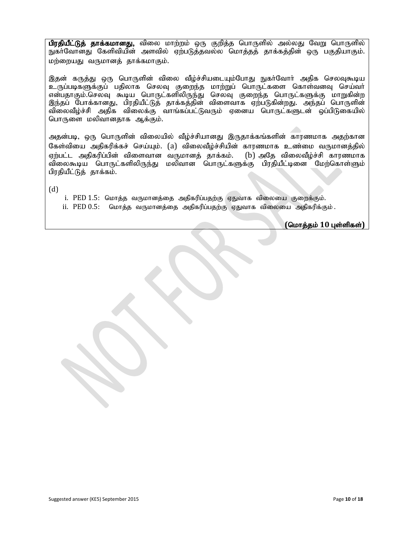பிரதியீட்டுத் தாக்கமானது, விலை மாற்றம் ஒரு குறித்த பொருளில் அல்லது வேறு பொருளில் நுகர்வோனது கேளிவியின் அளவில் ஏற்படுத்தவல்ல மொத்தத் தாக்கத்தின் ஒரு பகுதியாகும். மற்றையது வருமானத் தாக்கமாகும்.

இதன் கருத்து ஒரு பொருளின் விலை வீழ்ச்சியடையும்போது நுகர்வோர் அதிக செலவுகூடிய உருப்படிகளுக்குப் பதிலாக செலவு குறைந்த மாற்றுப் பொருட்களை கொள்வனவு செய்வா் என்பதாகும்.செலவு கூடிய பொருட்களிலிருந்து செலவு குறைந்த பொருட்களுக்கு மாறுகின்ற இந்தப் போக்கானது, பிரதியீட்டுத் தாக்கத்தின் விளைவாக ஏற்படுகின்றது. அந்தப் பொருளின் விலைவீழ்ச்சி அதிக விலைக்கு வாங்கப்பட்டுவரும் ஏனைய பொருட்களுடன் ஒப்பிடுகையில் பொருளை மலிவானதாக ஆக்கும்.

அதன்படி, ஒரு பொருளின் விலையில் வீழ்ச்சியானது இருதாக்கங்களின் காரணமாக அதற்கான கேள்வியை அதிகரிக்கச் செய்யும். (a) விலைவீழ்ச்சியின் காரணமாக உண்மை வருமானத்தில் ஏற்பட்ட அதிகரிப்பின் விளைவான வருமானத் தாக்கம். (b) அதே விலைவீழ்ச்சி காரணமாக ்விலைகூடிய பொருட்களிலிருந்து மலிவான பொருட்களுக்கு பிரதியீட்டினை மேற்கொள்ளும் பிரதியீட்டுத் தாக்கம்.

(d)

i. PED 1.5: மொத்த வருமானத்தை அதிகரிப்பதற்கு ஏதுவாக விலையை குறைக்கும்.

ii. PED 0.5: மொத்த வருமானத்தை அதிகரிப்பதற்கு ஏதுவாக விலையை அதிகரிக்கும்.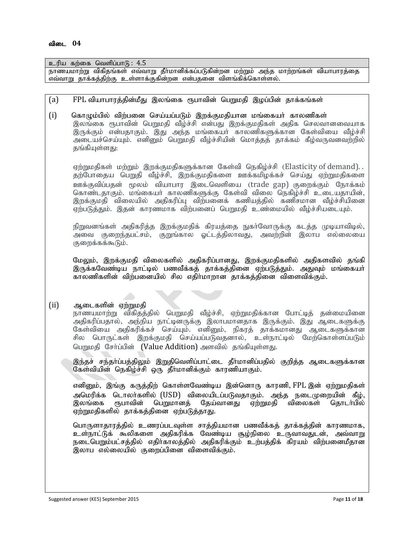Suggested answer (KE5) September 2015 **Page 11** of **18** உரிய கற்கை வெளிப்பா $f_5$ :  $\overline{4.5}$ <u>நாணயமாற்று</u> விகிதங்கள் எவ்வாறு தீா்மானிக்கப்படுகின்றன மற்றும் அந்த மாற்றங்கள் வியாபாரத்தை எவ்வாறு தாக்கத்திற்கு உள்ளாக்குகின்றன என்பதனை விளங்கிக்கொள்ளல். (a) FPL வியாபாரத்தின்மீது இலங்கை ரூபாவின் பெறுமதி இழப்பின் தாக்கங்கள் (i) கொழும்பில் விற்பனை செய்யப்படும் இறக்குமதியான மங்கையர் காலணிகள் இலங்கை ரூபாவின் பெறுமதி வீழ்ச்சி என்பது இறக்குமதிகள் அதிக செலவானவையாக இருக்கும் என்பதாகும். இது அந்த மங்கையா் காலணிகளுக்கான கேள்வியை வீழ்ச்சி அடையச்செய்யும். எனினும் பெறுமதி வீழ்ச்சியின் மொத்தத் தாக்கம் கீழ்வருவனவற்றில் தங்கியுள்ளது: ஏற்றுமதிகள் மற்றும் இறக்குமதிகளுக்கான கேள்வி நெகிழ்ச்சி (Elasticity of demand). . தற்போதைய பெறுதி வீழ்ச்சி, இறக்குமதிகளை ஊக்கமிழக்கச் செய்து ஏற்றுமதிகளை ஊக்குவிப்பதன் மூலம் வியாபார இடைவெளியை (trade gap) குறைக்கும் நோக்கம் கொண்டதாகும். மங்கையா் காலணிகளுக்கு கேள்வி விலை நெகிழ்ச்சி உடையதாயின், இறக்குமதி விலையில் அதிகரிப்பு விற்பனைக் கணியத்தில் கணிசமான வீழ்ச்சியினை ஏற்படுத்தும். இதன் காரணமாக விற்பனைப் பெறுமதி உண்மையில் வீம்ச்சியடையம். நிறுவனங்கள் அதிகரித்த இறக்குமதிக் கிரயத்தை நுகா்வோருக்கு கடத்த முடியாவிடில், அவை குறைந்தபட்சம், குறுங்கால ஓட்டத்திலாவது, அவற்றின் இலாப எல்லையை குறைக்கக்கூடும். மேலும், இறக்குமதி விலைகளில் அதிகரிப்பானது, இறக்குமதிகளில் அதிகளவில் தங்கி இருக்கவேண்டிய நாட்டில் பணவீக்கத் தாக்கத்தினை ஏற்படுத்தும். அதுவும் மங்கையா் காலணிகளின் விற்பனையில் சில எதிர்மாறான தாக்கத்தினை விளைவிக்கும்.  $(i)$  அடைகளின் ஏற்றுமதி நாணயமாற்று விகிதத்தில் பெறுமதி வீழ்ச்சி, ஏற்றுமதிக்கான போட்டித் தன்மையினை அதிகரிப்பதால், அந்நிய நாட்டினருக்கு இலாபமானதாக இருக்கும். இது ஆடைகளுக்கு கேள்வியை அதிகரிக்கச் செய்யும். எனினும், நிகரத் தாக்கமானது ஆடைகளுக்கான சில பொருட்கள் இறக்குமதி செய்யப்படுவதனால், உள்நாட்டில் மேற்கொள்ளப்படும் பெறுமதி சேர்ப்பின் (Value Addition) அளவில் தங்கியுள்ளது. இந்தச் சந்தா்ப்பத்திலும் இறுதிவெளிப்பாட்டை தீா்மானிப்பதில் குறித்த ஆடைகளுக்கான கேள்வியின் நெகிழ்ச்சி ஒரு தீர்மானிக்கும் காரணியாகும். எனினும், இங்கு கருத்திற் கொள்ளவேண்டிய இன்னொரு காரணி, FPL இன் ஏற்றுமதிகள் அமெரிக்க டொலர்களில் (USD) விலையிடப்படுவதாகும். அந்த நடைமுறையின் கீழ்,<br>இலங்கை ரூபாவின் பெறுமானக் கேய்வானகு எற்றுமகி விலைகள் கொடர்பில் ரூபாவின் பெறுமானக் கேய்வானது ஏற்றுமதி விலைகள் தொடர்பில் ஏற்றுமதிகளில் தாக்கத்தினை ஏற்படுத்தாது. பொருளாதாரத்தில் உணரப்படவுள்ள சாத்தியமான பணவீக்கத் தாக்கத்தின் காரணமாக, உள்நாட்டுக் கூலிகளை அதிகரிக்க வேண்டிய சூழ்நிலை உருவாவதுடன், அவ்வாறு நடைபெறும்பட்சத்தில் எதிா்காலத்தில் அதிகரிக்கும் உற்பத்திக் கிரயம் விற்பனைமீதான இலாப எல்லையில் குறைப்பினை விளைவிக்கும்.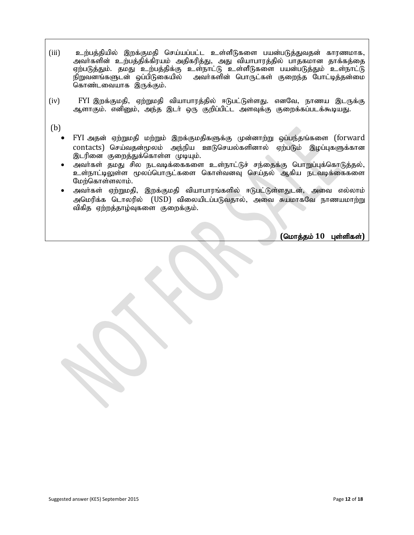- (iii) cw;gj ;jpapy; ,wf;Fkjp nra;ag;gl;l cs;sPLfis gad ;gLj;Jtjd ; fhuzkhf> அவா்களின் உற்பத்திக்கிரயம் அதிகரித்து, அது வியாபாரத்தில் பாதகமான தாக்கத்தை ஏற்படுத்தும். தமது உற்பத்திக்கு உள்நாட்டு உள்ளீடுகளை பயன்படுத்தும் உள்நாட்டு<br>நிறுவனங்களுடன் ஒப்பிடுகையில் அவர்களின் பொருட்கள் குறைந்த போட்டித்தன்மை அவர்களின் பொருட்கள் குறைந்த போட்டித்தன்மை கொண்டவையாக இருக்கும்.
- (iv) FYI இறக்குமதி, ஏற்றுமதி வியாபாரத்தில் ஈடுபட்டுள்ளது. எனவே, நாணய இடருக்கு ஆளாகும். எனினும், அந்த இடா் ஒரு குறிப்பிட்ட அளவுக்கு குறைக்கப்படக்கூடியது.

(b)

- FYI அதன் ஏற்றுமதி மற்றும் இறக்குமதிகளுக்கு முன்னாற்று ஒப்பந்தங்களை (forward  $\arctan$ ) செய்வதன்மூலம் அந்நிய ஊடுசெயல்களினால் ஏற்படும் இழப்புகளுக்கான இடரினை குறைத்துக்கொள்ள முடியும்.
- அவர்கள் தமது சில நடவடிக்கைகளை உள்நாட்டுச் சந்தைக்கு பொறுப்புக்கொடுத்தல், உள்நாட்டிலுள்ள மூலப்பொருட்களை கொள்வனவு செய்தல் ஆகிய நடவடிக்கைகளை மேற்கொள்ளலாம்.
- அவர்கள் ஏற்றுமதி, இறக்குமதி வியாபாரங்களில் ஈடுபட்டுள்ளதுடன், அவை எல்லாம் அமெரிக்க டொலரில் (USD) விலையிடப்படுவதால், அவை சுயமாகவே நாணயமாற்று விகித ஏற்றத்தாழ்வுகளை குறைக்கும்.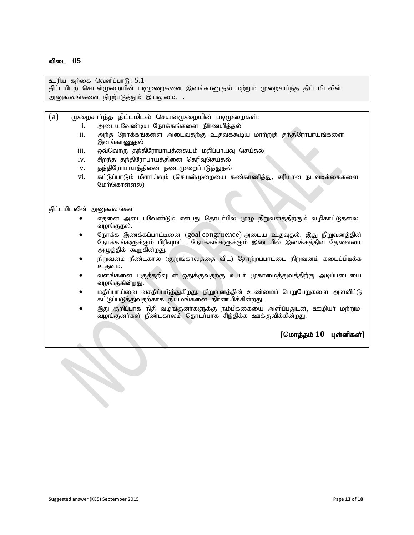உரிய கற்கை வெளிப்பா $G: 5.1$ 

திட்டமிடற் செயன்முறையின் படிமுறைகளை இனங்காணுதல் மற்றும் முறைசாா்ந்த திட்டமிடலின் அனுகூலங்களை நிரற்படுத்தும் இயலுமை. .

(a)  $\mu$ முறைசார்ந்த திட்டமிடல் செயன்முறையின் படிமுறைகள்:

- i. அடையவேண்டிய நோக்கங்களை நிர்ணயித்தல்
- ii. அந்த நோக்கங்களை அடைவதற்கு உதவக்கூடிய மாற்றுத் தந்திரோபாயங்களை இனங்காணுதல்
- iii. ஓவ்வொரு தந்திரோபாயத்தையும் மதிப்பாய்வு செய்தல்
- iv. சிறந்த தந்திரோபாயத்தினை தெரிவுசெய்தல்
- v. தந்திரோபாயத்தினை நடைமுறைப்படுத்துதல்
- vi. கட்டுப்பாடும் மீளாய்வும் (செயன்முறையை கண்காணித்து, சரியான நடவடிக்கைகளை மேற்கொள்ளல்)

#### திட்டமிடலின் அனுகூலங்கள்

- எதனை அடையவேண்டும் என்பது தொடர்பில் முழு நிறுவனத்திற்கும் வழிகாட்டுதலை வழங்குதல்.
- $\bullet$  Gநாக்க இணக்கப்பாட்டினை (goal congruence) அடைய உதவுதல். இது நிறுவனத்தின் நோக்கங்களுக்கும் பிரிவுமட்ட நோக்கங்களுக்கும் இடையில் இணக்கத்தின் தேவையை அழுத்திக் கூறுகின்றது.
- நிறுவனம் நீண்டகால (குறுங்காலத்தை விட) தோற்றப்பாட்டை நிறுவனம் கடைப்பிடிக்க உதவும்.
- வளங்களை பகுத்தறிவுடன் ஒதுக்குவதற்கு உயர் முகாமைத்துவத்திற்கு அடிப்படையை வழங்குகின்றது.
- மதிப்பாய்வை வசதிப்படுத்துகிறது. நிறுவனத்தின் உண்மைப் பெறுபேறுகளை அளவிட்டு கட்டுப்படுத்துவதற்காக நியமங்களை நிர்ணயிக்கின்றது.
- இது குறிப்பாக நிதி வழங்குனா்களுக்கு நம்பிக்கையை அளிப்பதுடன், ஊழியா் மற்றும் வழங்குனர்கள் நீண்டகாலம் தொடர்பாக சிந்திக்க ஊக்குவிக்கின்றது.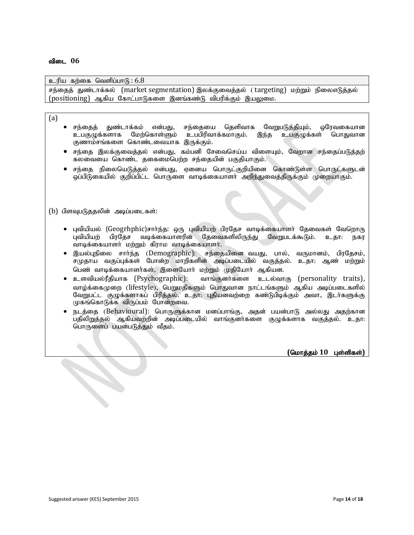#### உரிய கற்கை வெளிப்பா $f_5$ : 6.8

சந்தைத் துண்டாக்கல் (market segmentation) இலக்குவைத்தல் (targeting) மற்றும் நிலைஎடுத்தல்  $(positioning)$  ஆகிய கோட்பாடுகளை இனங்கண்டு விபரிக்கும் இயலுமை.

#### (a)

- $\bullet$  சந்தைத் துண்டாக்கம் என்பது, சந்தையை தெளிவாக வேறுபடுத்தியும், ஒரேவகையான உபகுழுக்களாக மேற்கொள்ளும் உபபிரிவாக்கமாகும். இந்த உபகுழுக்கள் பொதுவான குணாம்சங்களை கொண்டவையாக இருக்கும்.
- சந்தை இலக்குவைத்தல் என்பது, கம்பனி சேவைசெய்ய விளையும், வேறான சந்தைப்படுத்தற் .<br>கலவையை கொண்ட தகைமைபெற்ற சந்தையின் பகுதியாகும்.
- சந்தை நிலையெடுத்தல் என்பது, ஏனைய பொருட்குறியினை கொண்டுள்ள பொருட்களுடன் <u>ஒ</u>ப்பிடுகையில் குறிப்பிட்ட பொருளை வாடிக்கையாளா் அறிந்துவைத்திருக்கும் முறையாகும்.

 $(b)$  பிளவுபடுததலின் அடிப்படைகள்:

- புவியியல் (Geogrhphic)சாா்ந்த: ஒரு புவியியற் பிரதேச வாடிக்கையாளா் தேவைகள் வேறொரு புவியியற் பிரதேச வடிக்கையாளரின் தேவைகளிலிருந்து வேறுபடக்கூடும். உதா: நகர வாடிக்கையாளர் மற்றும் கிராம வாடிக்கையாளர்.
- $\bullet$  இயல்புநிலை சார்ந்த (Demographic): சந்தையினைவயது, பால், வருமானம், பிரதேசம்,  $\mid$ சமுதாய வகுப்புக்கள் போன்ற மாறிகளின் அடிப்படையில் வகுத்தல். உதா: ஆண் மற்றும்| பெண் வாடிக்கையாளர்கள், இளையோர் மற்றும் முதியோர் ஆகியன.
- உளவியல்ரீதியாக (Psychographic): வாங்குனர்களை உடல்வாகு (personality traits), வாழ்க்கைமுறை (lifestyle), பெறுமதிகளும் பொதுவான நாட்டங்களும் ஆகிய அடிப்படைகளில் வேறுபட்ட குழுக்களாகப் பிரித்தல். உதா: புதியனவற்றை கண்டுபிடிக்கும் அவா, இடா்களுக்கு  $(\mu$ கங்கொடுக்க விருப்பம் போன்றவை.
- நடத்தை (Behavioural): பொருளுக்கான மனப்பாங்கு, அதன் பயன்பாடு அல்லது அதற்கான பதிலிறுத்தல் ஆகியவற்றின் அடிப்படையில் வாங்குனர்களை குழுக்களாக வகுத்தல். உதா: பொருளைப் பயன்படுத்தும் வீதம்.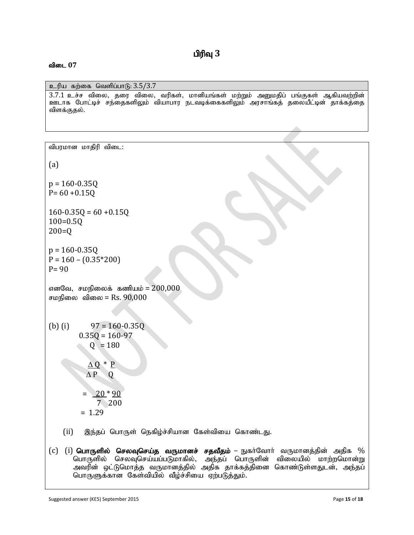## $\mathbf{u}$ ரிவு  $3$

#### விடை 07

 $p$ ெரிய கற்கை வெளிப்பாடு:  $3.5/3.7$ 

 $3.7.1$  உச்ச விலை, தரை விலை, வரிகள், மானியங்கள் மற்றும் அனுமதிப் பங்குகள் ஆகியவற்றின் <u>ஊ</u>டாக போட்டிச் சந்தைகளிலும் வியாபார நடவடிக்கைகளிலும் அரசாங்கத் தலையீட்டின் தாக்கத்தை விளக்குதல்.

விபரமான மாகிரி விடை: (a)  $p = 160 - 0.35Q$  $P = 60 + 0.15Q$  $160 - 0.35Q = 60 + 0.15Q$ 100=0.5Q 200=Q  $p = 160 - 0.35Q$  $P = 160 - (0.35*200)$  $P = 90$ எனவே, சமநிலைக் கணியம் =  $200,000$ சமநிலை விலை =  $Rs. 90,000$ (b) (i)  $97 = 160 - 0.35Q$  $0.35Q = 160-97$  $Q = 180$  $\Delta Q * P$  $\Delta P$  Q  $= 20 * 90$  7 200 = 1.29  $(ii)$  இந்தப் பொருள் நெகிழ்ச்சியான கேள்வியை கொண்டது. (c) (i) **பொருளில் செலவுசெய்த வருமானச் சதவீதம்** – நுகர்வோர் வருமானத்தின் அதிக % பொருளில் செலவுசெய்யப்படுமாகில், அந்தப் பொருளின் விலையில் மாற்றமொன்று $\mid$ அவரின் ஒட்டுமொத்த வருமானத்தில் அதிக தாக்கத்தினை கொண்டுள்ளதுடன், அந்தப்|

Suggested answer (KE5) September 2015 **Page 15** of **18 Page 15** of **18** 

பொருளுக்கான கேள்வியில் வீழ்ச்சியை ஏற்படுத்தும்.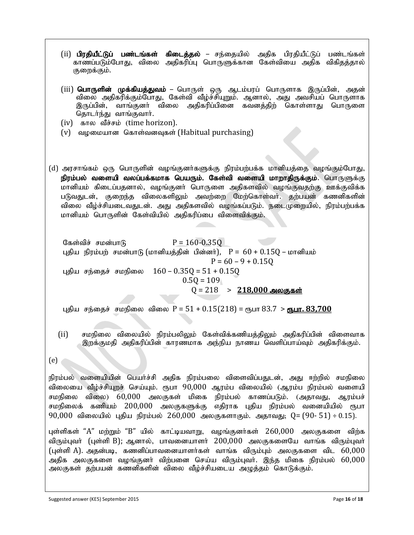- (ii) பிரதியீட்டுப் பண்டங்கள் கிடைத்தல் சந்தையில் அதிக பிரதியீட்டுப் பண்டங்கள் காணப்படும்போது, விலை அதிகரிப்பு பொருளுக்கான கேள்வியை அதிக விகிதத்தால் குறைக்கும்.
- (iii) **பொருளின் முக்கியத்துவம்** பொருள் ஒரு ஆடம்பரப் பொருளாக இருப்பின், அதன் விலை அதிகரிக்கும்போது, கேள்வி வீழ்ச்சியுறும். ஆனால், அது அவசியப் பொருளாக இருப்பின், வாங்குனர் விலை அதிகரிப்பினை கவனத்திற் கொள்ளாது பொருளை தொடர்ந்து வாங்குவார்.
- (iv) fhy tPr;rk; (time horizon).
- $(v)$  வழமையான கொள்வனவுகள் (Habitual purchasing)
- (d) அரசாங்கம் ஒரு பொருளின் வழங்குனர்களுக்கு நிரம்பற்பக்க மானியத்தை வழங்கும்போது, நிரம்பல் வளையி வலப்பக்கமாக பெயரும். கேள்வி வளையி மாறாதிருக்கும். பொருளுக்கு மானியம் கிடைப்பதனால், வழங்குனர் பொருளை அதிகளவில் வழங்குவதற்கு ஊக்குவிக்க படுவதுடன், குறைந்த விலைகளிலும் அவற்றை மேற்கொள்வா். தற்பயன் கணனிகளின் விலை வீழ்ச்சியடைவதுடன். அது அதிகளவில் வழங்கப்படும். நடைமுறையில், நிரம்பற்பக்க மானியம் பொருளின் கேள்வியில் அதிகரிப்பை விளைவிக்கும்.

கேள்விச் சமன்பாடு  $P = 160 - 0.35Q$ புதிய நிரம்பற் சமன்பாடு (மானியத்தின் பின்னர்),  $P = 60 + 0.15Q - \text{m}$ ானியம்  $P = 60 - 9 + 0.150$ புதிய சந்தைச் சமநிலை  $160 - 0.35Q = 51 + 0.15Q$  $0.5Q = 109$  $Q = 218$  > 218,000 அலகுகள்

புதிய சந்தைச் சமநிலை விலை P = 51 + 0.15(218) = ரூபா 83.7 > ரூ<u>பா. 83,700</u>

- (ii) சமநிலை விலையில் நிரம்பலிலும் கேள்விக்கணியத்திலும் அதிகரிப்பின் விளைவாக இறக்குமதி அதிகரிப்பின் காரணமாக அந்நிய நாணய வெளிப்பாய்வும் அதிகரிக்கும்.
- (e)

நிரம்பல் வளையியின் பெயர்ச்சி அதிக நிரம்பலை விளைவிப்பதுடன், அது ஈற்றில் சமநிலை விலையை வீழ்ச்சியுறச் செய்யும். ரூபா 90,000 ஆரம்ப விலையில் (ஆரம்ப நிரம்பல் வளையி சமநிலை விலை)  $60,000$  அலகுகள் மிகை நிரம்பல் காணப்படும். (அதாவது, ஆரம்பச் சமநிலைக் கணியம் 200,000 அலகுகளுக்கு எதிராக புதிய நிரம்பல் வனையியில் ரூபா  $90,000$  விலையில் புதிய நிரம்பல்  $260,000$  அலகுகளாகும். அதாவது; Q= ( $90-51$ ) ÷ 0.15).

புள்ளிகள் "A" மற்றும் "B" யில் காட்டியவாறு, வழங்குனர்கள்  $260,000$  அலகுகளை விற்க விரும்புவர் (புள்ளி B); ஆனால், பாவனையாளர்  $200,000$  அலகுகளையே வாங்க விரும்புவர் (புள்ளி A). அதன்படி, கணனிப்பாவனையாளர்கள் வாங்க விரும்பும் அலகுகளை விட  $60,000$ அதிக அலகுகளை வழங்குனர் விற்பனை செய்ய விரும்புவர். இந்த மிகை நிரம்பல் 60,000 அலகுகள் தற்பயன் கணனிகளின் விலை வீழ்ச்சியடைய அழுத்தம் கொடுக்கும்.

Suggested answer (KE5) September 2015 **Page 16** of **18** Page 16 of **18**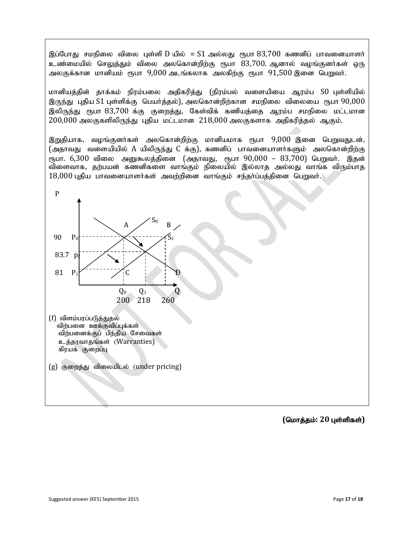இப்போது சமநிலை விலை புள்ளி D யில் = S1 அல்லது ரூபா  $83,700$ . கணனிப் பாவனையாளர் உண்மையில் செலுக்கும் விலை அலகொன்றிற்கு ரூபா  $83,700$ . ஆனால் வமங்குனர்கள் ஒரு அலகுக்கான மானியம் ரூபா  $9,000$  அடங்கலாக அலகிற்கு ரூபா  $91,500$  இனை பெறுவர்.

மானியத்தின் தாக்கம் நிரம்பலை அதிகரித்து (நிரம்பல் வளையியை ஆரம்ப S0 புள்ளியில் இருந்து புதிய  $S1$  புள்ளிக்கு பெயர்த்தல்), அலகொன்றிற்கான சமநிலை விலையை ரூபா  $90{,}000$ இலிருந்து ரூபா 83,700 க்கு குறைத்து, கேள்விக் கணியத்தை ஆரம்ப சமநிலை மட்டமான  $200,000$  அலகுகளிலிருந்து புதிய மட்டமான  $218,000$  அலகுகளாக அதிகரித்தல் ஆகும்.

இறுதியாக, வழங்குனர்கள் அலகொன்றிற்கு மானியமாக ரூபா 9,000 இனை பெறுவதுடன், (அதாவது வளையியில்  $A$  யிலிருந்து  $C$  க்கு), கணனிப் பாவனையாளர்களும் அலகொன்றிற்கு ரூபா. 6,300 விலை அனுகூலத்தினை (அதாவது, ரூபா  $90,000$  –  $83,700$ ) பெறுவர். இதன் விளைவாக, தற்பயன் கணனிகளை வாங்கும் நிலையில் இல்லாத அல்லது வாங்க விரும்பாத  $18,000$  புதிய பாவனையாளர்கள் அவற்றினை வாங்கும் சந்தர்ப்பத்தினை பெறுவர்.



- (f) விளம்பரப்படுத்துதல் விற்பனை ஊக்குவிப்புக்கள் விற்பனைக்குப் பிந்திய சேவைகள் உத்தரவாதங்கள் (Warranties) கிரயக் குறைப்பு
- (g) குறைத்து விலையிடல் (under pricing)

 $($ மொத்தம்: 20 புள்ளிகள்)